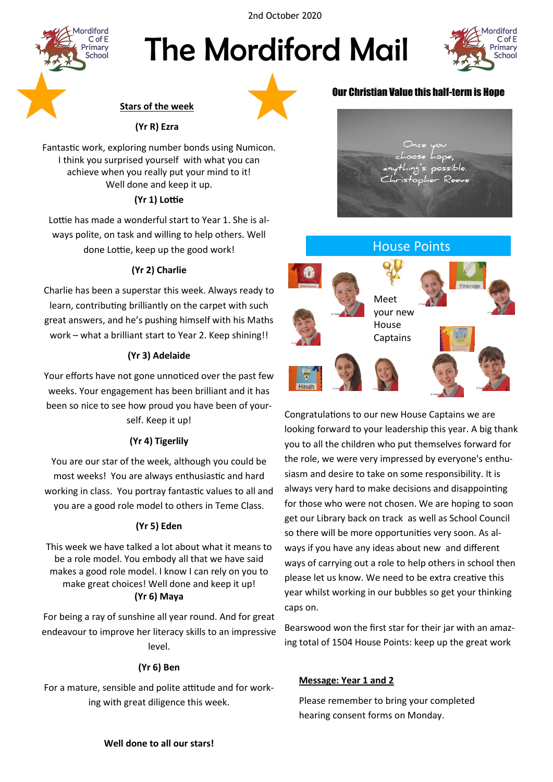2nd October 2020



# The Mordiford Mail



# **Stars of the week**

# **(Yr R) Ezra**

Fantastic work, exploring number bonds using Numicon. I think you surprised yourself with what you can achieve when you really put your mind to it! Well done and keep it up.

# **(Yr 1) Lottie**

Lottie has made a wonderful start to Year 1. She is always polite, on task and willing to help others. Well done Lottie, keep up the good work!

# **(Yr 2) Charlie**

Charlie has been a superstar this week. Always ready to learn, contributing brilliantly on the carpet with such great answers, and he's pushing himself with his Maths work – what a brilliant start to Year 2. Keep shining!!

# **(Yr 3) Adelaide**

Your efforts have not gone unnoticed over the past few weeks. Your engagement has been brilliant and it has been so nice to see how proud you have been of yourself. Keep it up!

# **(Yr 4) Tigerlily**

You are our star of the week, although you could be most weeks! You are always enthusiastic and hard working in class. You portray fantastic values to all and you are a good role model to others in Teme Class.

# **(Yr 5) Eden**

This week we have talked a lot about what it means to be a role model. You embody all that we have said makes a good role model. I know I can rely on you to make great choices! Well done and keep it up! **(Yr 6) Maya**

For being a ray of sunshine all year round. And for great endeavour to improve her literacy skills to an impressive level.

## **(Yr 6) Ben**

For a mature, sensible and polite attitude and for working with great diligence this week.

# Our Christian Value this half-term is Hope



# House Points Meet your new House Captains

Congratulations to our new House Captains we are looking forward to your leadership this year. A big thank you to all the children who put themselves forward for the role, we were very impressed by everyone's enthusiasm and desire to take on some responsibility. It is always very hard to make decisions and disappointing for those who were not chosen. We are hoping to soon get our Library back on track as well as School Council so there will be more opportunities very soon. As always if you have any ideas about new and different ways of carrying out a role to help others in school then please let us know. We need to be extra creative this year whilst working in our bubbles so get your thinking caps on.

Bearswood won the first star for their jar with an amazing total of 1504 House Points: keep up the great work

## **Message: Year 1 and 2**

Please remember to bring your completed hearing consent forms on Monday.